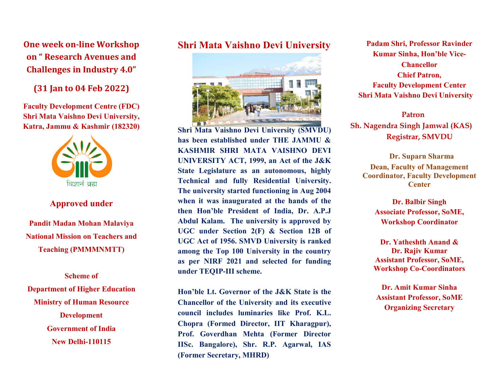One week on-line Workshop on " Research Avenues and Challenges in Industry 4.0"

(31 Jan to 04 Feb 2022)

Faculty Development Centre (FDC) Shri Mata Vaishno Devi University, Katra, Jammu & Kashmir (182320)



### Approved under

Pandit Madan Mohan Malaviya National Mission on Teachers and Teaching (PMMMNMTT)

Scheme of Department of Higher Education Ministry of Human Resource Development Government of India New Delhi-110115

## Shri Mata Vaishno Devi University



Shri Mata Vaishno Devi University (SMVDU)<br>has been established under THE JAMMU & has been established under THE JAMMU & KASHM KASHMIR SHRI MATA VAISHNO DEVI UNIVERSITY ACT, 1999, an Act of the J&K State Legislature as an autonomous, highly Technical and fully Residential University. The university started functioning in Aug 2004 when it was inaugurated at the hands of the then Hon'ble President of India, Dr. A.P.J Abdul Kalam. The university is approved by UGC under Section 2(F) & UGC Act of 1956. 1956. SMVD University is ranked among the Top 10 100 University in the country as per NIRF 2021 2021 and selected for funding under TEQIP TEQIP-III scheme. Hon'ble President of India, Dr. A.P.J<br>I Kalam. The university is approved by<br>under Section 2(F) & Section 12B of

Hon'ble Hon'ble Lt. Governor of the J&K State is the Chancellor of the University and its executive council includes luminaries like Prof. K.L. Chopra (Formed Director, IIT Kharagpur), Prof. Goverdhan Mehta (Former Director IISc. Bangalore), Shr. R.P. Agarwal, IAS (Former Secretary, MHRD) council includes luminaries like Prof. K.L.<br>Chopra (Formed Director, IIT Kharagpur),<br>Prof. Goverdhan Mehta (Former Director<br>IISc. Bangalore), Shr. R.P. Agarwal, IAS

Padam Shri, Professor Ravinder Kumar Sinha, Hon'ble Vice-Faculty Development Center Shri Mata Vaishno Devi University **Chancellor** Chief Patron,

Sh. Nagendra Singh Jamwal (KAS) Patron Registrar, SMVDU

Dean, Faculty of Manag Management Coordinator, Faculty Development Dr. Suparn Sharma **Center** 

> Associate Professor, SoME, Dr. Balbir Singh Workshop Coordinator

> Assistant Professor, SoME, Workshop Co-Coordinators Dr. Yatheshth Anand & Dr. Rajiv Kumar

Dr. Amit Kumar Sinha Assistant Professor, SoME Organizing Secretary